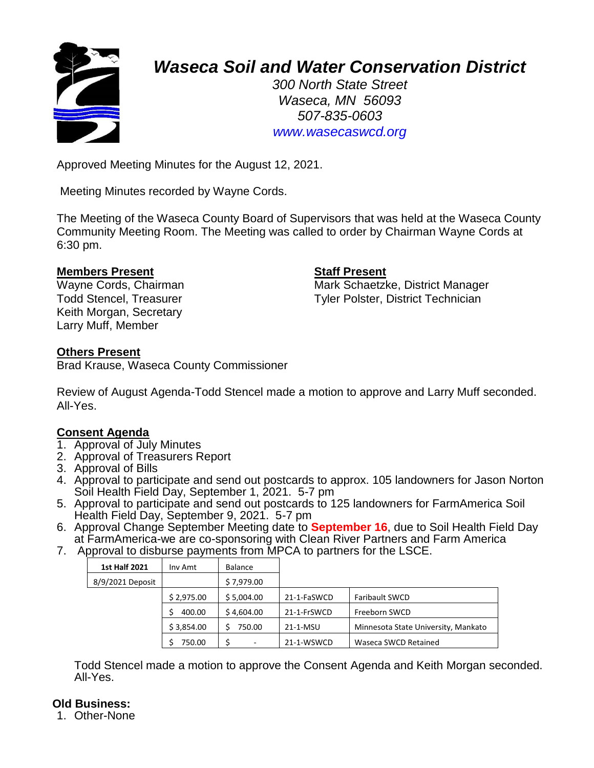

# *Waseca Soil and Water Conservation District*

*300 North State Street Waseca, MN 56093 507-835-0603 www.wasecaswcd.org*

Approved Meeting Minutes for the August 12, 2021.

Meeting Minutes recorded by Wayne Cords.

The Meeting of the Waseca County Board of Supervisors that was held at the Waseca County Community Meeting Room. The Meeting was called to order by Chairman Wayne Cords at 6:30 pm.

# **Members Present Staff Present**

Keith Morgan, Secretary Larry Muff, Member

Wayne Cords, Chairman Mark Schaetzke, District Manager Todd Stencel, Treasurer Tyler Polster, District Technician

# **Others Present**

Brad Krause, Waseca County Commissioner

Review of August Agenda-Todd Stencel made a motion to approve and Larry Muff seconded. All-Yes.

# **Consent Agenda**

- 1. Approval of July Minutes
- 2. Approval of Treasurers Report
- 3. Approval of Bills
- 4. Approval to participate and send out postcards to approx. 105 landowners for Jason Norton Soil Health Field Day, September 1, 2021. 5-7 pm
- 5. Approval to participate and send out postcards to 125 landowners for FarmAmerica Soil Health Field Day, September 9, 2021. 5-7 pm
- 6. Approval Change September Meeting date to **September 16**, due to Soil Health Field Day at FarmAmerica-we are co-sponsoring with Clean River Partners and Farm America
- 7. Approval to disburse payments from MPCA to partners for the LSCE.

| <b>1st Half 2021</b> | Inv Amt    | <b>Balance</b> |             |                                     |
|----------------------|------------|----------------|-------------|-------------------------------------|
| 8/9/2021 Deposit     |            | \$7,979.00     |             |                                     |
|                      | \$2,975.00 | \$5,004.00     | 21-1-FaSWCD | <b>Faribault SWCD</b>               |
|                      | 400.00     | \$4,604.00     | 21-1-FrSWCD | Freeborn SWCD                       |
|                      | \$3.854.00 | 750.00         | 21-1-MSU    | Minnesota State University, Mankato |
|                      | 750.00     |                | 21-1-WSWCD  | Waseca SWCD Retained                |

Todd Stencel made a motion to approve the Consent Agenda and Keith Morgan seconded. All-Yes.

# **Old Business:**

1. Other-None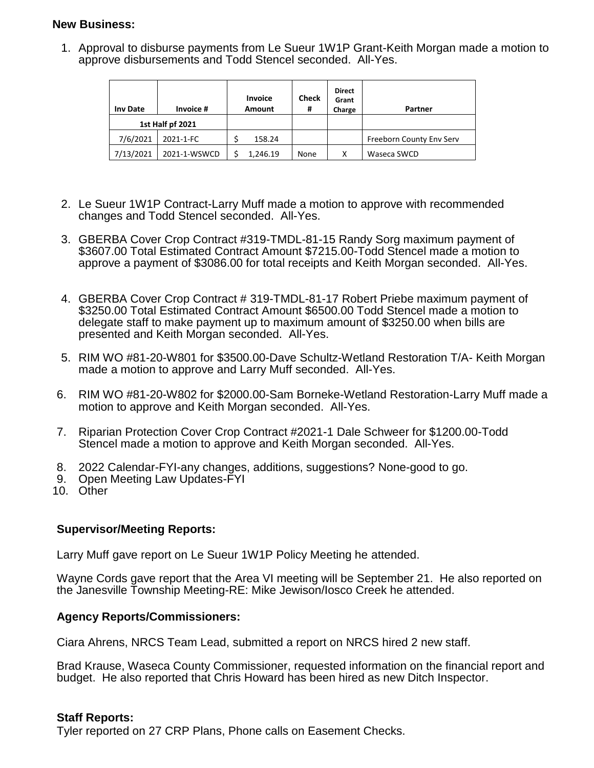# **New Business:**

1. Approval to disburse payments from Le Sueur 1W1P Grant-Keith Morgan made a motion to approve disbursements and Todd Stencel seconded. All-Yes.

| <b>Inv Date</b>  | Invoice #    | <b>Invoice</b><br>Amount | <b>Check</b><br>Ħ | <b>Direct</b><br>Grant<br>Charge | Partner                  |
|------------------|--------------|--------------------------|-------------------|----------------------------------|--------------------------|
| 1st Half pf 2021 |              |                          |                   |                                  |                          |
| 7/6/2021         | 2021-1-FC    | 158.24                   |                   |                                  | Freeborn County Env Serv |
| 7/13/2021        | 2021-1-WSWCD | 1.246.19                 | None              | х                                | Waseca SWCD              |

- 2. Le Sueur 1W1P Contract-Larry Muff made a motion to approve with recommended changes and Todd Stencel seconded. All-Yes.
- 3. GBERBA Cover Crop Contract #319-TMDL-81-15 Randy Sorg maximum payment of \$3607.00 Total Estimated Contract Amount \$7215.00-Todd Stencel made a motion to approve a payment of \$3086.00 for total receipts and Keith Morgan seconded. All-Yes.
- 4. GBERBA Cover Crop Contract # 319-TMDL-81-17 Robert Priebe maximum payment of \$3250.00 Total Estimated Contract Amount \$6500.00 Todd Stencel made a motion to delegate staff to make payment up to maximum amount of \$3250.00 when bills are presented and Keith Morgan seconded. All-Yes.
- 5. RIM WO #81-20-W801 for \$3500.00-Dave Schultz-Wetland Restoration T/A- Keith Morgan made a motion to approve and Larry Muff seconded. All-Yes.
- 6. RIM WO #81-20-W802 for \$2000.00-Sam Borneke-Wetland Restoration-Larry Muff made a motion to approve and Keith Morgan seconded. All-Yes.
- 7. Riparian Protection Cover Crop Contract #2021-1 Dale Schweer for \$1200.00-Todd Stencel made a motion to approve and Keith Morgan seconded. All-Yes.
- 8. 2022 Calendar-FYI-any changes, additions, suggestions? None-good to go.
- 9. Open Meeting Law Updates-FYI
- 10. Other

### **Supervisor/Meeting Reports:**

Larry Muff gave report on Le Sueur 1W1P Policy Meeting he attended.

Wayne Cords gave report that the Area VI meeting will be September 21. He also reported on the Janesville Township Meeting-RE: Mike Jewison/Iosco Creek he attended.

### **Agency Reports/Commissioners:**

Ciara Ahrens, NRCS Team Lead, submitted a report on NRCS hired 2 new staff.

Brad Krause, Waseca County Commissioner, requested information on the financial report and budget. He also reported that Chris Howard has been hired as new Ditch Inspector.

### **Staff Reports:**

Tyler reported on 27 CRP Plans, Phone calls on Easement Checks.